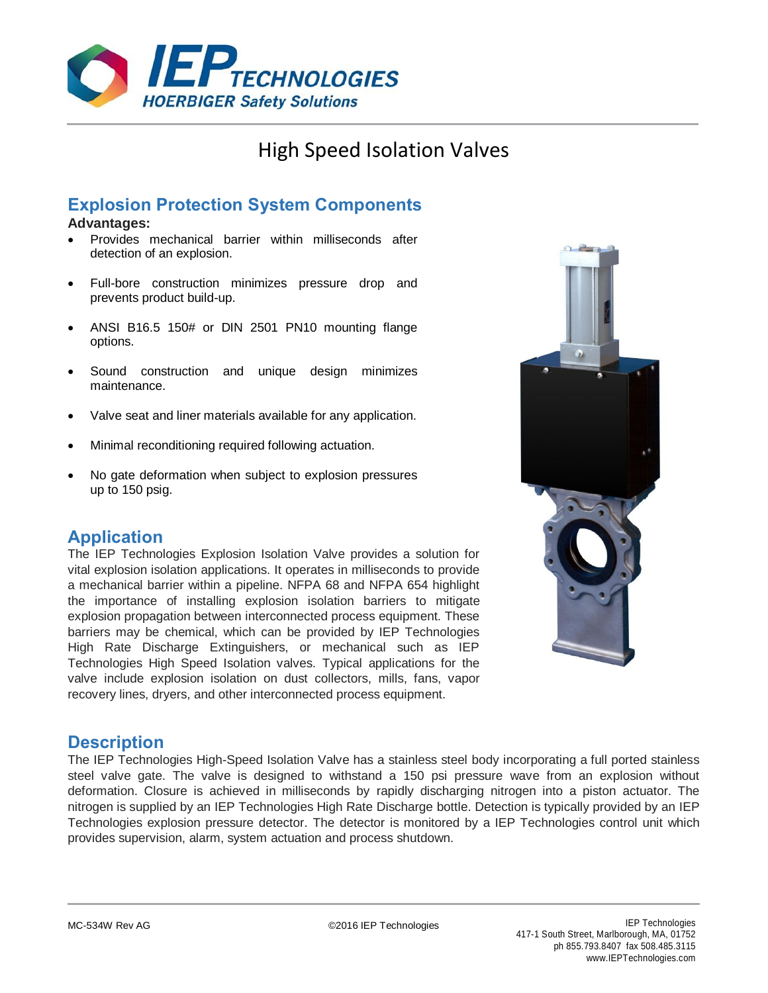

# High Speed Isolation Valves

# **Explosion Protection System Components**

#### **Advantages:**

- Provides mechanical barrier within milliseconds after detection of an explosion.
- Full-bore construction minimizes pressure drop and prevents product build-up.
- ANSI B16.5 150# or DIN 2501 PN10 mounting flange options.
- Sound construction and unique design minimizes maintenance.
- Valve seat and liner materials available for any application.
- Minimal reconditioning required following actuation.
- No gate deformation when subject to explosion pressures up to 150 psig.

## **Application**

The IEP Technologies Explosion Isolation Valve provides a solution for vital explosion isolation applications. It operates in milliseconds to provide a mechanical barrier within a pipeline. NFPA 68 and NFPA 654 highlight the importance of installing explosion isolation barriers to mitigate explosion propagation between interconnected process equipment. These barriers may be chemical, which can be provided by IEP Technologies High Rate Discharge Extinguishers, or mechanical such as IEP Technologies High Speed Isolation valves. Typical applications for the valve include explosion isolation on dust collectors, mills, fans, vapor recovery lines, dryers, and other interconnected process equipment.



#### **Description**

The IEP Technologies High-Speed Isolation Valve has a stainless steel body incorporating a full ported stainless steel valve gate. The valve is designed to withstand a 150 psi pressure wave from an explosion without deformation. Closure is achieved in milliseconds by rapidly discharging nitrogen into a piston actuator. The nitrogen is supplied by an IEP Technologies High Rate Discharge bottle. Detection is typically provided by an IEP Technologies explosion pressure detector. The detector is monitored by a IEP Technologies control unit which provides supervision, alarm, system actuation and process shutdown.